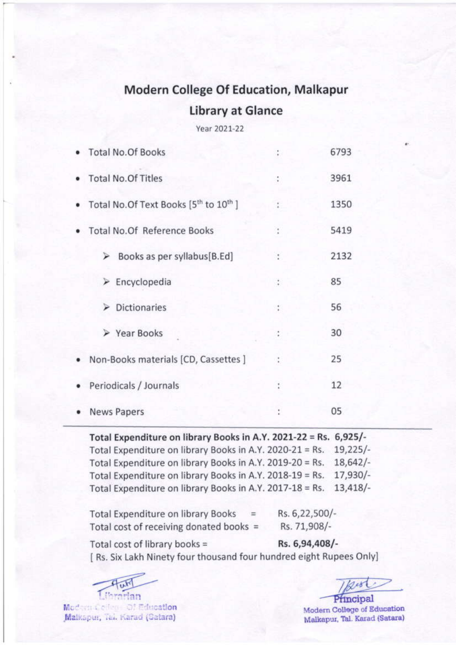# **Modern College Of Education, Malkapur**

#### **Library at Glance**

Year 2021-22

| · Total No.Of Books                                              | t.            | 6793 |
|------------------------------------------------------------------|---------------|------|
| · Total No.Of Titles                                             | ÷             | 3961 |
| • Total No. Of Text Books [5 <sup>th</sup> to 10 <sup>th</sup> ] | ÷.            | 1350 |
| <b>Total No.Of Reference Books</b>                               | t.            | 5419 |
| $\triangleright$ Books as per syllabus[B.Ed]                     | ÷             | 2132 |
| $\triangleright$ Encyclopedia                                    | ÷             | 85   |
| $\triangleright$ Dictionaries                                    | $\frac{1}{2}$ | 56   |
| ▶ Year Books                                                     | ÷             | 30   |
| • Non-Books materials [CD, Cassettes ]                           | ÷             | 25   |
| Periodicals / Journals                                           |               | 12   |
| <b>News Papers</b>                                               | ţ             | 05   |

Total Expenditure on library Books in A.Y. 2021-22 = Rs. 6,925/-Total Expenditure on library Books in A.Y. 2020-21 = Rs.  $19,225/-$ Total Expenditure on library Books in A.Y. 2019-20 = Rs.  $18,642/-$ Total Expenditure on library Books in A.Y. 2018-19 = Rs. 17,930/- $13,418/$ Total Expenditure on library Books in A.Y. 2017-18 = Rs.

| <b>Total Expenditure on library Books</b> | Rs. 6,22,500/- |
|-------------------------------------------|----------------|
| Total cost of receiving donated books =   | Rs. 71,908/-   |

Rs. 6,94,408/-Total cost of library books = [ Rs. Six Lakh Ninety four thousand four hundred eight Rupees Only]

**L'argrian** 

Modern Celleg- Of Education Malkspur, Tal. Karad (Satara)

Principal

Modern College of Education Malkapur, Tal. Karad (Satara)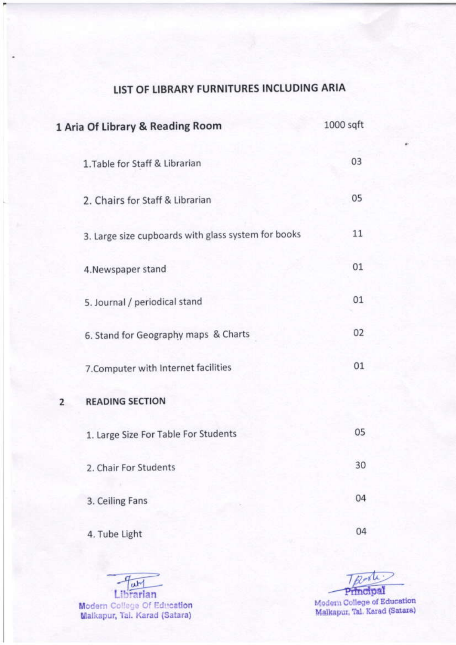### LIST OF LIBRARY FURNITURES INCLUDING ARIA

|   | 1 Aria Of Library & Reading Room                    | $1000$ sqft |
|---|-----------------------------------------------------|-------------|
|   | 1. Table for Staff & Librarian                      | 03          |
|   | 2. Chairs for Staff & Librarian                     | 05          |
|   | 3. Large size cupboards with glass system for books | 11          |
|   | 4. Newspaper stand                                  | 01          |
|   | 5. Journal / periodical stand                       | 01          |
|   | 6. Stand for Geography maps & Charts                | 02          |
|   | 7. Computer with Internet facilities                | 01          |
| 2 | <b>READING SECTION</b>                              |             |
|   | 1. Large Size For Table For Students                | 05          |
|   | 2. Chair For Students                               | 30          |
|   | 3. Ceiling Fans                                     | 04          |
|   | 4. Tube Light                                       | 04          |

Ω Librarian Modern College Of Education<br>Malkapur, Tai. Karad (Satara)

TRood Principal Modern College of Education<br>Malkapur, Tal. Karad (Satara)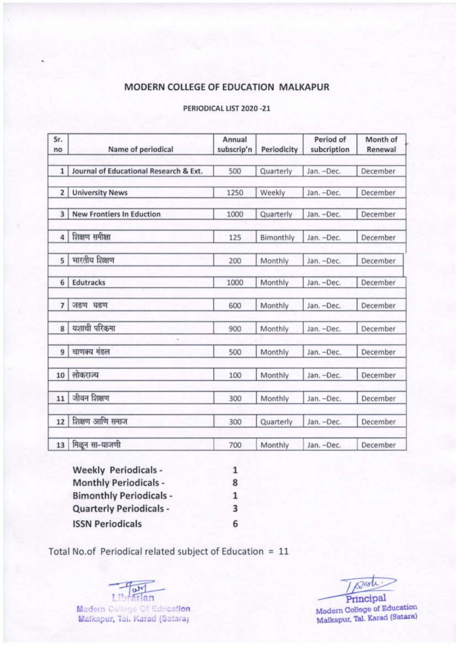#### MODERN COLLEGE OF EDUCATION MALKAPUR

| Sr.<br>no               | Name of periodical                     | Annual<br>subscrip'n | Periodicity | Period of<br>subcription | Month of<br>Renewal |
|-------------------------|----------------------------------------|----------------------|-------------|--------------------------|---------------------|
| $\mathbf{1}$            | Journal of Educational Research & Ext. | 500                  | Quarterly   | Jan. -Dec.               | December            |
| $\overline{2}$          | <b>University News</b>                 | 1250                 | Weekly      | Jan. -Dec.               | December            |
| $\overline{\mathbf{3}}$ | <b>New Frontiers In Eduction</b>       | 1000                 | Quarterly   | Jan. -Dec.               | December            |
| 4                       | शिक्षण समीक्षा                         | 125                  | Bimonthly   | Jan. -Dec.               | December            |
| 5                       | मारतीय शिक्षण                          | 200                  | Monthly     | Jan. -Dec.               | December            |
| 6                       | <b>Edutracks</b>                       | 1000                 | Monthly     | Jan. -Dec.               | December            |
| $\overline{7}$          | जडण घडण                                | 600                  | Monthly     | Jan. -Dec.               | December            |
| 8                       | यशाची परिकमा                           | 900                  | Monthly     | Jan. -Dec.               | December            |
| 9                       | चाणक्य मंडल                            | 500                  | Monthly     | Jan. -Dec.               | December            |
| 10                      | लोकराज्य                               | 100                  | Monthly     | Jan. - Dec.              | December            |
| 11                      | जीवन शिक्षण                            | 300                  | Monthly     | Jan. -Dec.               | December            |
| 12                      | शिक्षण आणि समाज                        | 300                  | Quarterly   | Jan. -Dec.               | December            |
| 13                      | मिळून सा-याजणी                         | 700                  | Monthly     | Jan. -Dec.               | December            |

#### PERIODICAL LIST 2020 -21

**Weekly Periodicals -** $\mathbf 1$ **Monthly Periodicals -**8 **Bimonthly Periodicals -** $\mathbf{1}$ **Quarterly Periodicals -**3 **ISSN Periodicals** 6

Total No.of Periodical related subject of Education = 11

Librarian Modern College Of Education Malkapur, Tal. Karad (Satara)

 $\mathcal{D}$ est

Principal Modern College of Education Malkapur, Tal. Karad (Satara)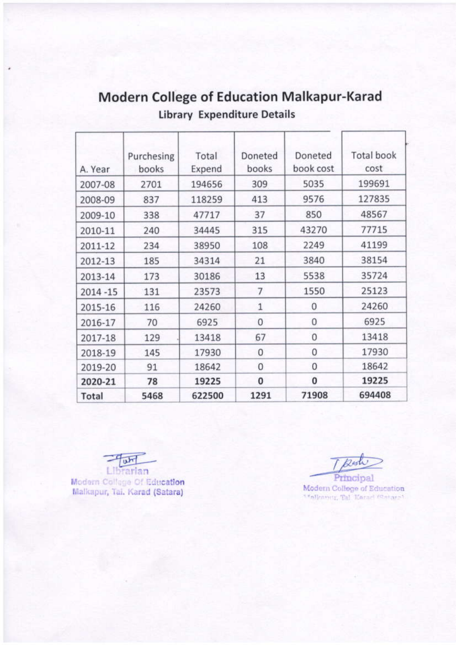| Total       | 5468                | 622500          | 1291             | 71908                | 694408                    |
|-------------|---------------------|-----------------|------------------|----------------------|---------------------------|
| 2020-21     | 78                  | 19225           | $\bf{0}$         | 0                    | 19225                     |
| 2019-20     | 91                  | 18642           | $\mathbf{0}$     | 0                    | 18642                     |
| 2018-19     | 145                 | 17930           | 0                | 0                    | 17930                     |
| 2017-18     | 129                 | 13418           | 67               | 0                    | 13418                     |
| 2016-17     | 70                  | 6925            | 0                | 0                    | 6925                      |
| 2015-16     | 116                 | 24260           | $\mathbf{1}$     | 0                    | 24260                     |
| $2014 - 15$ | 131                 | 23573           | 7                | 1550                 | 25123                     |
| 2013-14     | 173                 | 30186           | 13               | 5538                 | 35724                     |
| 2012-13     | 185                 | 34314           | 21               | 3840                 | 38154                     |
| 2011-12     | 234                 | 38950           | 108              | 2249                 | 41199                     |
| 2010-11     | 240                 | 34445           | 315              | 43270                | 77715                     |
| 2009-10     | 338                 | 47717           | 37               | 850                  | 48567                     |
| 2008-09     | 837                 | 118259          | 413              | 9576                 | 127835                    |
| 2007-08     | 2701                | 194656          | 309              | 5035                 | 199691                    |
| A. Year     | Purchesing<br>books | Total<br>Expend | Doneted<br>books | Doneted<br>book cost | <b>Total book</b><br>cost |
|             |                     |                 |                  |                      |                           |

## **Modern College of Education Malkapur-Karad Library Expenditure Details**

 $u<sub>tr</sub>$ Librarian

Modern College Of Education Malkapur, Tai. Karad (Satara)

Reste

Principal Modern College of Education